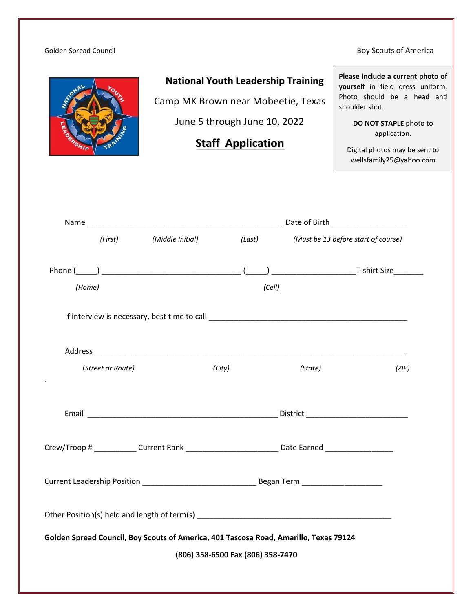#### Golden Spread Council and South Spread Council and South Spread Council and South Spread Council and South Spread Council and South Spread Council and South Spread Council and South Spread Council and South Spread Council



# **National Youth Leadership Training**

Camp MK Brown near Mobeetie, Texas June 5 through June 10, 2022

# **Staff Application**

**Please include a current photo of yourself** in field dress uniform. Photo should be a head and shoulder shot.

> **DO NOT STAPLE** photo to application.

Digital photos may be sent to wellsfamily25@yahoo.com

|        | (First)           | (Middle Initial) |                                   |        | (Last) (Must be 13 before start of course)                                                           |       |  |  |
|--------|-------------------|------------------|-----------------------------------|--------|------------------------------------------------------------------------------------------------------|-------|--|--|
|        |                   |                  |                                   |        |                                                                                                      |       |  |  |
| (Home) |                   |                  |                                   | (Cell) |                                                                                                      |       |  |  |
|        |                   |                  |                                   |        |                                                                                                      |       |  |  |
|        |                   |                  |                                   |        |                                                                                                      |       |  |  |
|        | (Street or Route) |                  | (City)                            |        | (State)                                                                                              | (ZIP) |  |  |
|        |                   |                  |                                   |        |                                                                                                      |       |  |  |
|        |                   |                  |                                   |        | Crew/Troop # ______________Current Rank _____________________________Date Earned ___________________ |       |  |  |
|        |                   |                  |                                   |        |                                                                                                      |       |  |  |
|        |                   |                  |                                   |        |                                                                                                      |       |  |  |
|        |                   |                  |                                   |        | Golden Spread Council, Boy Scouts of America, 401 Tascosa Road, Amarillo, Texas 79124                |       |  |  |
|        |                   |                  | (806) 358-6500 Fax (806) 358-7470 |        |                                                                                                      |       |  |  |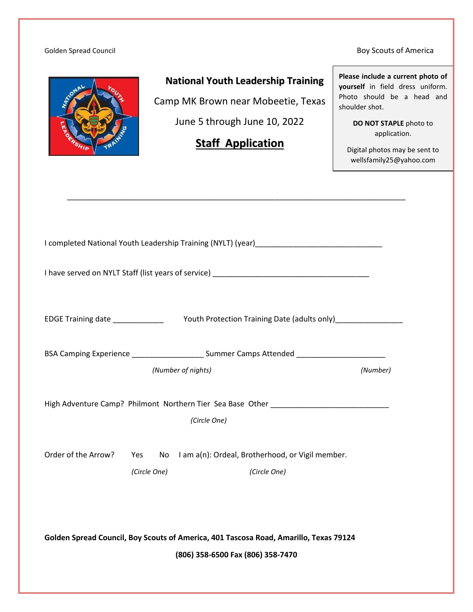#### Golden Spread Council and South Spread Council and South Spread Council and South Spread Council and South Spread Council and South Spread Council and South Spread Council and South Spread Council and South Spread Council



## **National Youth Leadership Training**

Camp MK Brown near Mobeetie, Texas

June 5 through June 10, 2022

# **Staff Application**

\_\_\_\_\_\_\_\_\_\_\_\_\_\_\_\_\_\_\_\_\_\_\_\_\_\_\_\_\_\_\_\_\_\_\_\_\_\_\_\_\_\_\_\_\_\_\_\_\_\_\_\_\_\_\_\_\_\_\_\_\_\_\_\_\_\_\_\_\_\_\_\_\_\_\_\_\_\_\_\_

**Please include a current photo of yourself** in field dress uniform. Photo should be a head and shoulder shot.

> **DO NOT STAPLE** photo to application.

Digital photos may be sent to wellsfamily25@yahoo.com

| BSA Camping Experience ___________________________ Summer Camps Attended __________________________ |                    |                                                     |          |  |
|-----------------------------------------------------------------------------------------------------|--------------------|-----------------------------------------------------|----------|--|
|                                                                                                     | (Number of nights) |                                                     | (Number) |  |
| High Adventure Camp? Philmont Northern Tier Sea Base Other ______________________                   |                    |                                                     |          |  |
|                                                                                                     |                    | (Circle One)                                        |          |  |
| Order of the Arrow?                                                                                 | Yes                | No I am a(n): Ordeal, Brotherhood, or Vigil member. |          |  |
|                                                                                                     | (Circle One)       | (Circle One)                                        |          |  |
|                                                                                                     |                    |                                                     |          |  |
|                                                                                                     |                    |                                                     |          |  |
| Golden Spread Council, Boy Scouts of America, 401 Tascosa Road, Amarillo, Texas 79124               |                    |                                                     |          |  |
|                                                                                                     |                    | (806) 358-6500 Fax (806) 358-7470                   |          |  |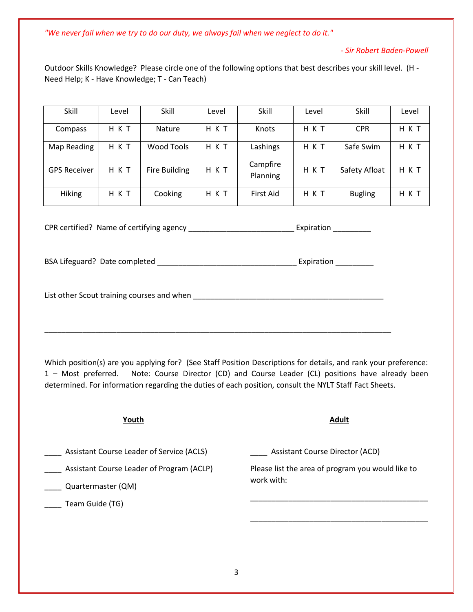*"We never fail when we try to do our duty, we always fail when we neglect to do it."*

#### *- Sir Robert Baden-Powell*

Outdoor Skills Knowledge? Please circle one of the following options that best describes your skill level. (H - Need Help; K - Have Knowledge; T - Can Teach)

| Skill               | Level | Skill                | Level | Skill                | Level | Skill          | Level |
|---------------------|-------|----------------------|-------|----------------------|-------|----------------|-------|
| Compass             | H K T | <b>Nature</b>        | H K T | Knots                | нкт   | <b>CPR</b>     | HKT   |
| Map Reading         | H K T | Wood Tools           | H K T | Lashings             | H K T | Safe Swim      | H K T |
| <b>GPS Receiver</b> | HKT   | <b>Fire Building</b> | HKT   | Campfire<br>Planning | H K T | Safety Afloat  | H K T |
| <b>Hiking</b>       | H K T | Cooking              | H K T | First Aid            | нкт   | <b>Bugling</b> | H K T |

CPR certified? Name of certifying agency \_\_\_\_\_\_\_\_\_\_\_\_\_\_\_\_\_\_\_\_\_\_\_\_\_\_\_\_\_\_\_\_\_\_Expiration \_\_\_\_\_\_\_\_\_\_\_\_

BSA Lifeguard? Date completed \_\_\_\_\_\_\_\_\_\_\_\_\_\_\_\_\_\_\_\_\_\_\_\_\_\_\_\_\_\_\_\_\_ Expiration \_\_\_\_\_\_\_\_\_

List other Scout training courses and when \_\_\_\_\_\_\_\_\_\_\_\_\_\_\_\_\_\_\_\_\_\_\_\_\_\_\_\_\_\_\_\_\_\_\_\_\_\_\_\_\_\_\_\_\_

\_\_\_\_\_\_\_\_\_\_\_\_\_\_\_\_\_\_\_\_\_\_\_\_\_\_\_\_\_\_\_\_\_\_\_\_\_\_\_\_\_\_\_\_\_\_\_\_\_\_\_\_\_\_\_\_\_\_\_\_\_\_\_\_\_\_\_\_\_\_\_\_\_\_\_\_\_\_\_\_\_\_

Which position(s) are you applying for? (See Staff Position Descriptions for details, and rank your preference: 1 – Most preferred. Note: Course Director (CD) and Course Leader (CL) positions have already been determined. For information regarding the duties of each position, consult the NYLT Staff Fact Sheets.

| <b>Assistant Course Director (ACD)</b>            |  |
|---------------------------------------------------|--|
| Please list the area of program you would like to |  |
|                                                   |  |
|                                                   |  |
|                                                   |  |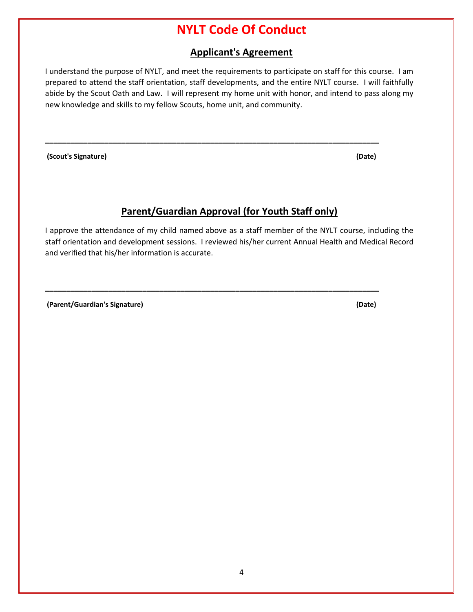# **NYLT Code Of Conduct**

## **Applicant's Agreement**

I understand the purpose of NYLT, and meet the requirements to participate on staff for this course. I am prepared to attend the staff orientation, staff developments, and the entire NYLT course. I will faithfully abide by the Scout Oath and Law. I will represent my home unit with honor, and intend to pass along my new knowledge and skills to my fellow Scouts, home unit, and community.

**\_\_\_\_\_\_\_\_\_\_\_\_\_\_\_\_\_\_\_\_\_\_\_\_\_\_\_\_\_\_\_\_\_\_\_\_\_\_\_\_\_\_\_\_\_\_\_\_\_\_\_\_\_\_\_\_\_\_\_\_\_\_\_\_\_\_\_\_\_\_\_\_\_\_\_\_\_\_\_**

**(Scout's Signature) (Date)**

## **Parent/Guardian Approval (for Youth Staff only)**

I approve the attendance of my child named above as a staff member of the NYLT course, including the staff orientation and development sessions. I reviewed his/her current Annual Health and Medical Record and verified that his/her information is accurate.

**\_\_\_\_\_\_\_\_\_\_\_\_\_\_\_\_\_\_\_\_\_\_\_\_\_\_\_\_\_\_\_\_\_\_\_\_\_\_\_\_\_\_\_\_\_\_\_\_\_\_\_\_\_\_\_\_\_\_\_\_\_\_\_\_\_\_\_\_\_\_\_\_\_\_\_\_\_\_\_**

**(Parent/Guardian's Signature) (Date)**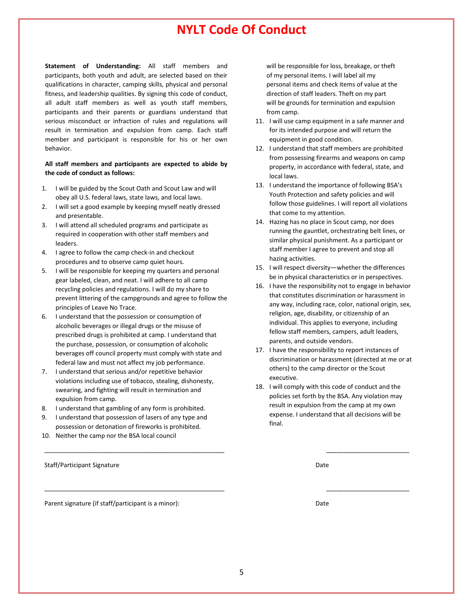# **NYLT Code Of Conduct**

**Statement of Understanding:** All staff members and participants, both youth and adult, are selected based on their qualifications in character, camping skills, physical and personal fitness, and leadership qualities. By signing this code of conduct, all adult staff members as well as youth staff members, participants and their parents or guardians understand that serious misconduct or infraction of rules and regulations will result in termination and expulsion from camp. Each staff member and participant is responsible for his or her own behavior.

#### **All staff members and participants are expected to abide by the code of conduct as follows:**

- 1. I will be guided by the Scout Oath and Scout Law and will obey all U.S. federal laws, state laws, and local laws.
- 2. I will set a good example by keeping myself neatly dressed and presentable.
- 3. I will attend all scheduled programs and participate as required in cooperation with other staff members and leaders.
- 4. I agree to follow the camp check-in and checkout procedures and to observe camp quiet hours.
- 5. I will be responsible for keeping my quarters and personal gear labeled, clean, and neat. I will adhere to all camp recycling policies and regulations. I will do my share to prevent littering of the campgrounds and agree to follow the principles of Leave No Trace.
- 6. I understand that the possession or consumption of alcoholic beverages or illegal drugs or the misuse of prescribed drugs is prohibited at camp. I understand that the purchase, possession, or consumption of alcoholic beverages off council property must comply with state and federal law and must not affect my job performance.
- 7. I understand that serious and/or repetitive behavior violations including use of tobacco, stealing, dishonesty, swearing, and fighting will result in termination and expulsion from camp.
- 8. I understand that gambling of any form is prohibited.
- 9. I understand that possession of lasers of any type and possession or detonation of fireworks is prohibited.
- 10. Neither the camp nor the BSA local council

Staff/Participant Signature Date Date of the Staff Control of the Date Date of the Date Date of the Date of the Date of the Date of the Date of the Date of the Date of the Date of the Date of the Date of the Date of the Da

Parent signature (if staff/participant is a minor): Date

 will be responsible for loss, breakage, or theft of my personal items. I will label all my personal items and check items of value at the direction of staff leaders. Theft on my part will be grounds for termination and expulsion from camp.

- 11. I will use camp equipment in a safe manner and for its intended purpose and will return the equipment in good condition.
- 12. I understand that staff members are prohibited from possessing firearms and weapons on camp property, in accordance with federal, state, and local laws.
- 13. I understand the importance of following BSA's Youth Protection and safety policies and will follow those guidelines. I will report all violations that come to my attention.
- 14. Hazing has no place in Scout camp, nor does running the gauntlet, orchestrating belt lines, or similar physical punishment. As a participant or staff member I agree to prevent and stop all hazing activities.
- 15. I will respect diversity—whether the differences be in physical characteristics or in perspectives.
- 16. I have the responsibility not to engage in behavior that constitutes discrimination or harassment in any way, including race, color, national origin, sex, religion, age, disability, or citizenship of an individual. This applies to everyone, including fellow staff members, campers, adult leaders, parents, and outside vendors.
- 17. I have the responsibility to report instances of discrimination or harassment (directed at me or at others) to the camp director or the Scout executive.
- 18. I will comply with this code of conduct and the policies set forth by the BSA. Any violation may result in expulsion from the camp at my own expense. I understand that all decisions will be final.

\_\_\_\_\_\_\_\_\_\_\_\_\_\_\_\_\_\_\_\_\_\_\_\_\_\_\_\_\_\_\_\_\_\_\_\_\_\_\_\_\_\_\_\_\_\_\_\_\_\_\_\_ \_\_\_\_\_\_\_\_\_\_\_\_\_\_\_\_\_\_\_\_\_\_\_\_

\_\_\_\_\_\_\_\_\_\_\_\_\_\_\_\_\_\_\_\_\_\_\_\_\_\_\_\_\_\_\_\_\_\_\_\_\_\_\_\_\_\_\_\_\_\_\_\_\_\_\_\_ \_\_\_\_\_\_\_\_\_\_\_\_\_\_\_\_\_\_\_\_\_\_\_\_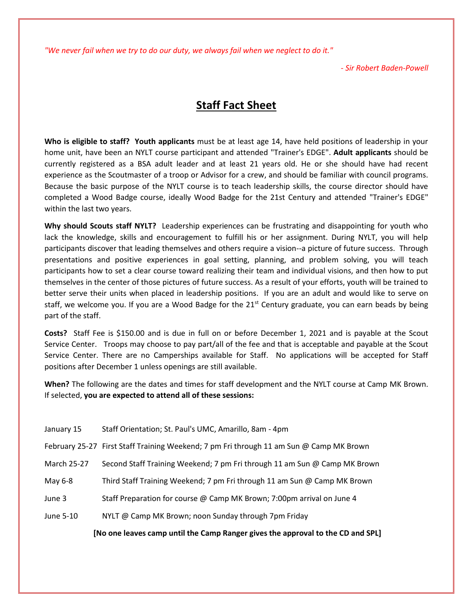*"We never fail when we try to do our duty, we always fail when we neglect to do it."*

*- Sir Robert Baden-Powell*

# **Staff Fact Sheet**

**Who is eligible to staff? Youth applicants** must be at least age 14, have held positions of leadership in your home unit, have been an NYLT course participant and attended "Trainer's EDGE". **Adult applicants** should be currently registered as a BSA adult leader and at least 21 years old. He or she should have had recent experience as the Scoutmaster of a troop or Advisor for a crew, and should be familiar with council programs. Because the basic purpose of the NYLT course is to teach leadership skills, the course director should have completed a Wood Badge course, ideally Wood Badge for the 21st Century and attended "Trainer's EDGE" within the last two years.

**Why should Scouts staff NYLT?** Leadership experiences can be frustrating and disappointing for youth who lack the knowledge, skills and encouragement to fulfill his or her assignment. During NYLT, you will help participants discover that leading themselves and others require a vision--a picture of future success. Through presentations and positive experiences in goal setting, planning, and problem solving, you will teach participants how to set a clear course toward realizing their team and individual visions, and then how to put themselves in the center of those pictures of future success. As a result of your efforts, youth will be trained to better serve their units when placed in leadership positions. If you are an adult and would like to serve on staff, we welcome you. If you are a Wood Badge for the  $21<sup>st</sup>$  Century graduate, you can earn beads by being part of the staff.

**Costs?** Staff Fee is \$150.00 and is due in full on or before December 1, 2021 and is payable at the Scout Service Center. Troops may choose to pay part/all of the fee and that is acceptable and payable at the Scout Service Center. There are no Camperships available for Staff. No applications will be accepted for Staff positions after December 1 unless openings are still available.

**When?** The following are the dates and times for staff development and the NYLT course at Camp MK Brown. If selected, **you are expected to attend all of these sessions:**

| [No one leaves camp until the Camp Ranger gives the approval to the CD and SPL] |                                                                                         |  |  |
|---------------------------------------------------------------------------------|-----------------------------------------------------------------------------------------|--|--|
| June 5-10                                                                       | NYLT @ Camp MK Brown; noon Sunday through 7pm Friday                                    |  |  |
| June 3                                                                          | Staff Preparation for course @ Camp MK Brown; 7:00pm arrival on June 4                  |  |  |
| May 6-8                                                                         | Third Staff Training Weekend; 7 pm Fri through 11 am Sun @ Camp MK Brown                |  |  |
| March 25-27                                                                     | Second Staff Training Weekend; 7 pm Fri through 11 am Sun @ Camp MK Brown               |  |  |
|                                                                                 | February 25-27 First Staff Training Weekend; 7 pm Fri through 11 am Sun @ Camp MK Brown |  |  |
| January 15                                                                      | Staff Orientation; St. Paul's UMC, Amarillo, 8am - 4pm                                  |  |  |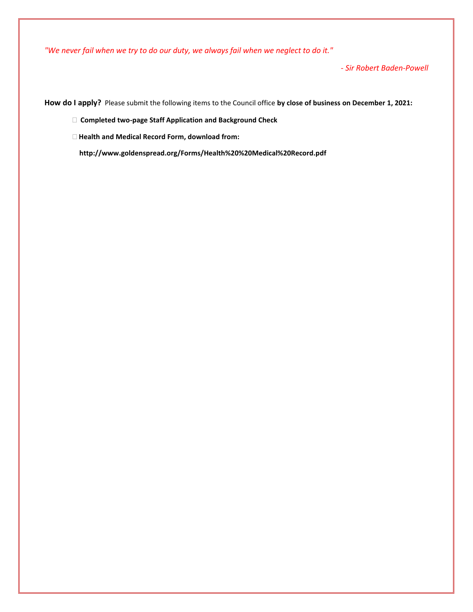*"We never fail when we try to do our duty, we always fail when we neglect to do it."*

*- Sir Robert Baden-Powell*

**How do I apply?** Please submit the following items to the Council office **by close of business on December 1, 2021:**

 **Completed two-page Staff Application and Background Check**

 **Health and Medical Record Form, download from:**

 **http://www.goldenspread.org/Forms/Health%20%20Medical%20Record.pdf**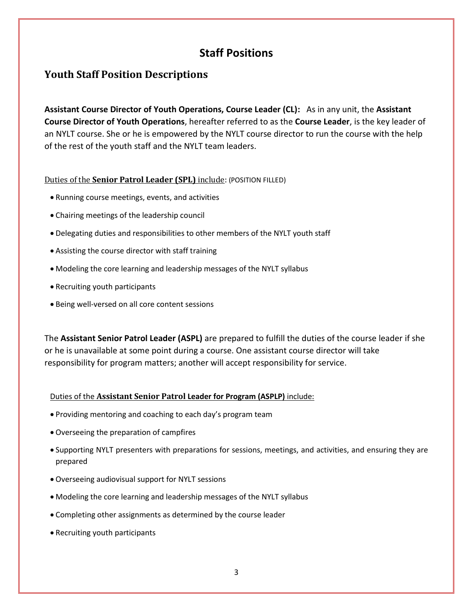# **Staff Positions**

## **Youth Staff Position Descriptions**

**Assistant Course Director of Youth Operations, Course Leader (CL):** As in any unit, the **Assistant Course Director of Youth Operations**, hereafter referred to as the **Course Leader**, is the key leader of an NYLT course. She or he is empowered by the NYLT course director to run the course with the help of the rest of the youth staff and the NYLT team leaders.

## Duties of the **Senior Patrol Leader (SPL)** include: (POSITION FILLED)

- Running course meetings, events, and activities
- Chairing meetings of the leadership council
- Delegating duties and responsibilities to other members of the NYLT youth staff
- Assisting the course director with staff training
- Modeling the core learning and leadership messages of the NYLT syllabus
- Recruiting youth participants
- Being well-versed on all core content sessions

The **Assistant Senior Patrol Leader (ASPL)** are prepared to fulfill the duties of the course leader if she or he is unavailable at some point during a course. One assistant course director will take responsibility for program matters; another will accept responsibility for service.

## Duties of the **Assistant Senior Patrol Leader for Program (ASPLP)** include:

- Providing mentoring and coaching to each day's program team
- Overseeing the preparation of campfires
- Supporting NYLT presenters with preparations for sessions, meetings, and activities, and ensuring they are prepared
- Overseeing audiovisual support for NYLT sessions
- Modeling the core learning and leadership messages of the NYLT syllabus
- Completing other assignments as determined by the course leader
- Recruiting youth participants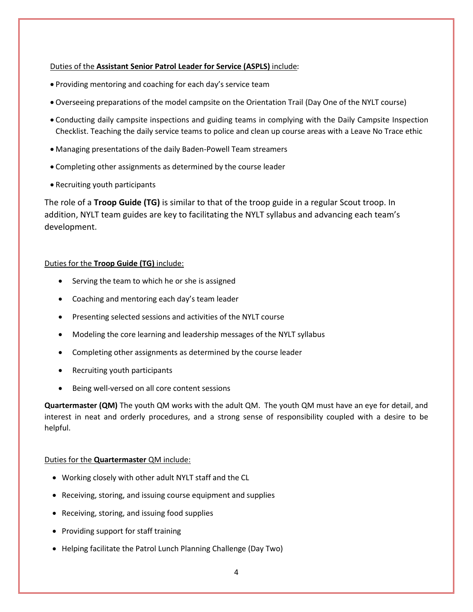## Duties of the **Assistant Senior Patrol Leader for Service (ASPLS)** include:

- Providing mentoring and coaching for each day's service team
- Overseeing preparations of the model campsite on the Orientation Trail (Day One of the NYLT course)
- Conducting daily campsite inspections and guiding teams in complying with the Daily Campsite Inspection Checklist. Teaching the daily service teams to police and clean up course areas with a Leave No Trace ethic
- Managing presentations of the daily Baden-Powell Team streamers
- Completing other assignments as determined by the course leader
- Recruiting youth participants

The role of a **Troop Guide (TG)** is similar to that of the troop guide in a regular Scout troop. In addition, NYLT team guides are key to facilitating the NYLT syllabus and advancing each team's development.

## Duties for the **Troop Guide (TG)** include:

- Serving the team to which he or she is assigned
- Coaching and mentoring each day's team leader
- Presenting selected sessions and activities of the NYLT course
- Modeling the core learning and leadership messages of the NYLT syllabus
- Completing other assignments as determined by the course leader
- Recruiting youth participants
- Being well-versed on all core content sessions

**Quartermaster (QM)** The youth QM works with the adult QM. The youth QM must have an eye for detail, and interest in neat and orderly procedures, and a strong sense of responsibility coupled with a desire to be helpful.

## Duties for the **Quartermaster** QM include:

- Working closely with other adult NYLT staff and the CL
- Receiving, storing, and issuing course equipment and supplies
- Receiving, storing, and issuing food supplies
- Providing support for staff training
- Helping facilitate the Patrol Lunch Planning Challenge (Day Two)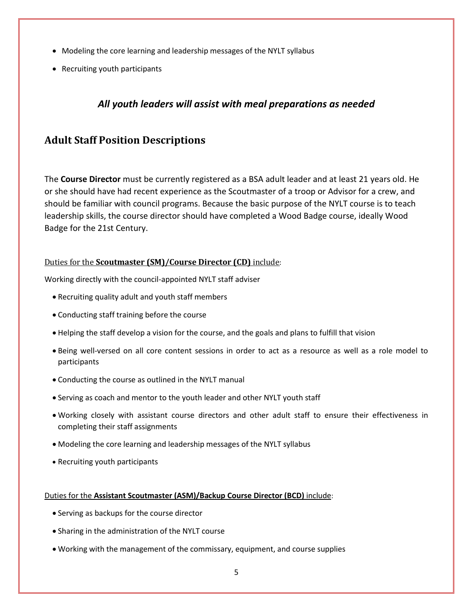- Modeling the core learning and leadership messages of the NYLT syllabus
- Recruiting youth participants

## *All youth leaders will assist with meal preparations as needed*

## **Adult Staff Position Descriptions**

The **Course Director** must be currently registered as a BSA adult leader and at least 21 years old. He or she should have had recent experience as the Scoutmaster of a troop or Advisor for a crew, and should be familiar with council programs. Because the basic purpose of the NYLT course is to teach leadership skills, the course director should have completed a Wood Badge course, ideally Wood Badge for the 21st Century.

## Duties for the **Scoutmaster (SM)/Course Director (CD)** include:

Working directly with the council-appointed NYLT staff adviser

- Recruiting quality adult and youth staff members
- Conducting staff training before the course
- Helping the staff develop a vision for the course, and the goals and plans to fulfill that vision
- Being well-versed on all core content sessions in order to act as a resource as well as a role model to participants
- Conducting the course as outlined in the NYLT manual
- Serving as coach and mentor to the youth leader and other NYLT youth staff
- Working closely with assistant course directors and other adult staff to ensure their effectiveness in completing their staff assignments
- Modeling the core learning and leadership messages of the NYLT syllabus
- Recruiting youth participants

## Duties for the **Assistant Scoutmaster (ASM)/Backup Course Director (BCD)** include:

- Serving as backups for the course director
- Sharing in the administration of the NYLT course
- Working with the management of the commissary, equipment, and course supplies